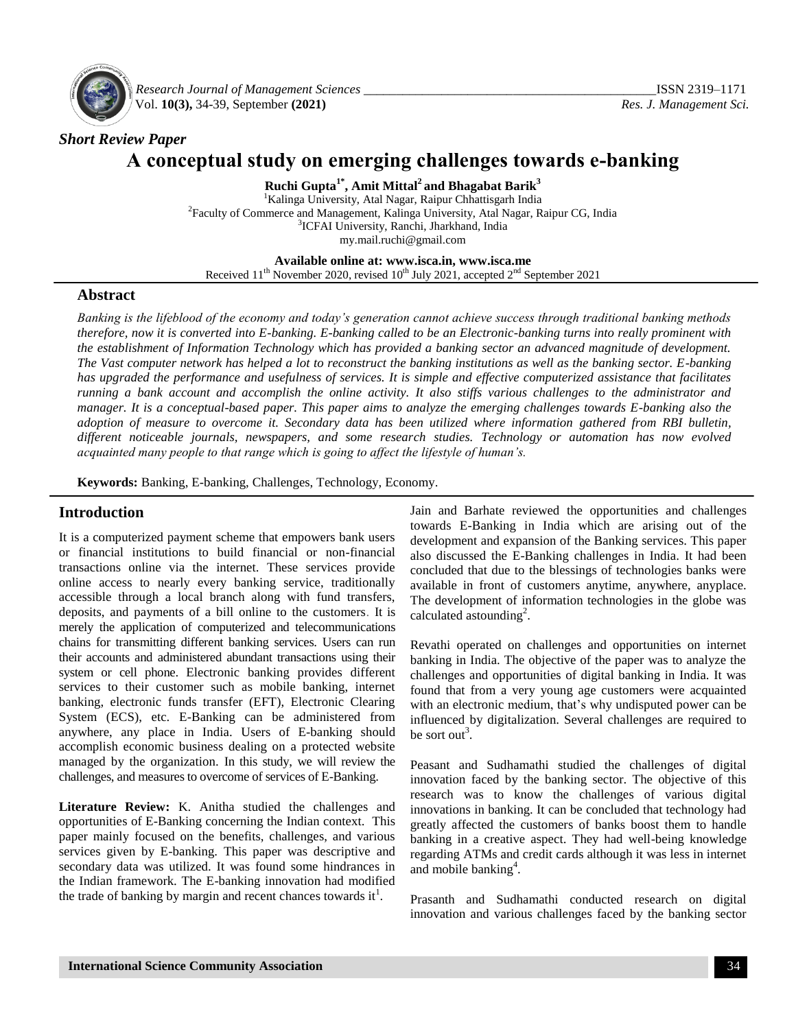

*Research Journal of Management Sciences \_\_\_\_\_\_\_\_\_\_\_\_\_\_\_\_\_\_\_\_\_\_\_\_\_\_\_\_\_\_\_\_\_\_\_\_\_\_\_\_\_\_\_\_\_*ISSN 2319–1171 Vol. **10(3),** 34-39, September **(2021)** *Res. J. Management Sci.*

## *Short Review Paper*

# **A conceptual study on emerging challenges towards e-banking**

**Ruchi Gupta1\*, Amit Mittal<sup>2</sup>and Bhagabat Barik<sup>3</sup>**

<sup>1</sup>Kalinga University, Atal Nagar, Raipur Chhattisgarh India 2 Faculty of Commerce and Management, Kalinga University, Atal Nagar, Raipur CG, India <sup>3</sup>ICFAI University, Ranchi, Jharkhand, India my.mail.ruchi@gmail.com

**Available online at: [www.isca.in,](http://www.isca.in/) [www.isca.me](http://www.isca.in/)**

Received  $11<sup>th</sup>$  November 2020, revised  $10<sup>th</sup>$  July 2021, accepted  $2<sup>nd</sup>$  September 2021

#### **Abstract**

*Banking is the lifeblood of the economy and today's generation cannot achieve success through traditional banking methods therefore, now it is converted into E-banking. E-banking called to be an Electronic-banking turns into really prominent with the establishment of Information Technology which has provided a banking sector an advanced magnitude of development. The Vast computer network has helped a lot to reconstruct the banking institutions as well as the banking sector. E-banking has upgraded the performance and usefulness of services. It is simple and effective computerized assistance that facilitates running a bank account and accomplish the online activity. It also stiffs various challenges to the administrator and manager. It is a conceptual-based paper. This paper aims to analyze the emerging challenges towards E-banking also the adoption of measure to overcome it. Secondary data has been utilized where information gathered from RBI bulletin, different noticeable journals, newspapers, and some research studies. Technology or automation has now evolved acquainted many people to that range which is going to affect the lifestyle of human's.*

**Keywords:** Banking, E-banking, Challenges, Technology, Economy.

## **Introduction**

It is a computerized payment scheme that empowers bank users or financial institutions to build financial or non-financial transactions online via the internet. These services provide online access to nearly every banking service, traditionally accessible through a local branch along with fund transfers, deposits, and payments of a bill online to the customers. It is merely the application of computerized and telecommunications chains for transmitting different banking services. Users can run their accounts and administered abundant transactions using their system or cell phone. Electronic banking provides different services to their customer such as mobile banking, internet banking, electronic funds transfer (EFT), Electronic Clearing System (ECS), etc. E-Banking can be administered from anywhere, any place in India. Users of E-banking should accomplish economic business dealing on a protected website managed by the organization. In this study, we will review the challenges, and measures to overcome of services of E-Banking.

**Literature Review:** K. Anitha studied the challenges and opportunities of E-Banking concerning the Indian context. This paper mainly focused on the benefits, challenges, and various services given by E-banking. This paper was descriptive and secondary data was utilized. It was found some hindrances in the Indian framework. The E-banking innovation had modified the trade of banking by margin and recent chances towards it<sup>1</sup>.

Jain and Barhate reviewed the opportunities and challenges towards E-Banking in India which are arising out of the development and expansion of the Banking services. This paper also discussed the E-Banking challenges in India. It had been concluded that due to the blessings of technologies banks were available in front of customers anytime, anywhere, anyplace. The development of information technologies in the globe was calculated astounding<sup>2</sup>.

Revathi operated on challenges and opportunities on internet banking in India. The objective of the paper was to analyze the challenges and opportunities of digital banking in India. It was found that from a very young age customers were acquainted with an electronic medium, that's why undisputed power can be influenced by digitalization. Several challenges are required to be sort out<sup>3</sup>.

Peasant and Sudhamathi studied the challenges of digital innovation faced by the banking sector. The objective of this research was to know the challenges of various digital innovations in banking. It can be concluded that technology had greatly affected the customers of banks boost them to handle banking in a creative aspect. They had well-being knowledge regarding ATMs and credit cards although it was less in internet and mobile banking<sup>4</sup>.

Prasanth and Sudhamathi conducted research on digital innovation and various challenges faced by the banking sector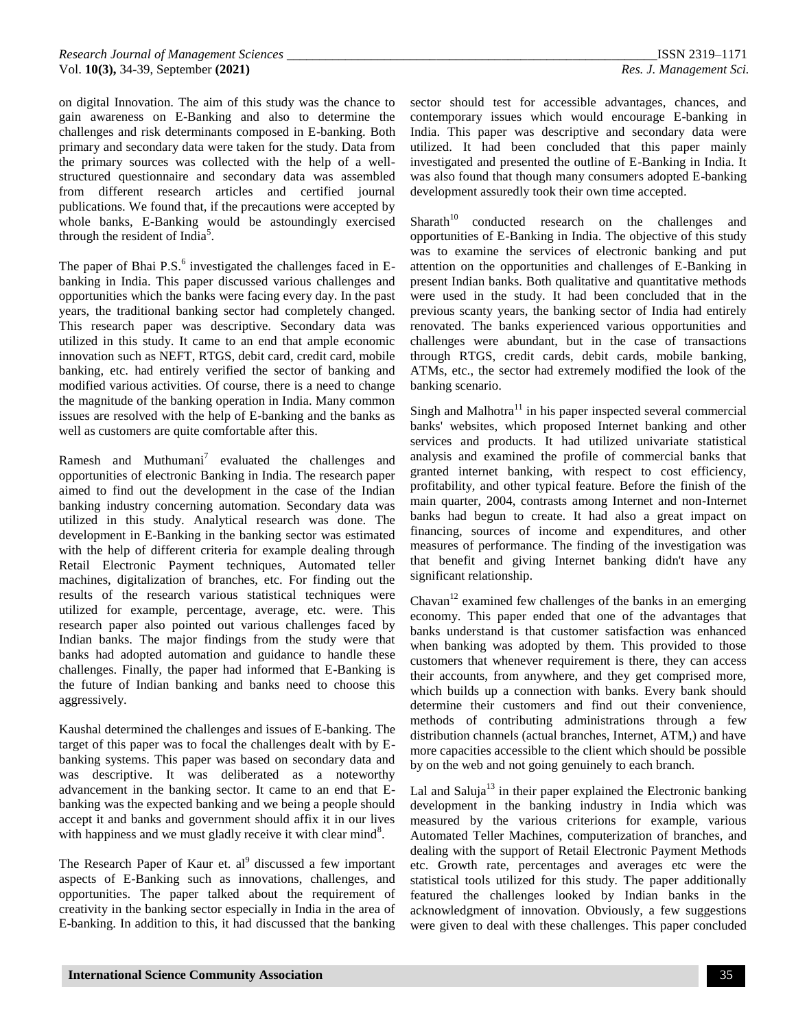on digital Innovation. The aim of this study was the chance to gain awareness on E-Banking and also to determine the challenges and risk determinants composed in E-banking. Both primary and secondary data were taken for the study. Data from the primary sources was collected with the help of a wellstructured questionnaire and secondary data was assembled from different research articles and certified journal publications. We found that, if the precautions were accepted by whole banks, E-Banking would be astoundingly exercised through the resident of India<sup>5</sup>.

The paper of Bhai  $P.S.<sup>6</sup>$  investigated the challenges faced in Ebanking in India. This paper discussed various challenges and opportunities which the banks were facing every day. In the past years, the traditional banking sector had completely changed. This research paper was descriptive. Secondary data was utilized in this study. It came to an end that ample economic innovation such as NEFT, RTGS, debit card, credit card, mobile banking, etc. had entirely verified the sector of banking and modified various activities. Of course, there is a need to change the magnitude of the banking operation in India. Many common issues are resolved with the help of E-banking and the banks as well as customers are quite comfortable after this.

Ramesh and Muthumani<sup>7</sup> evaluated the challenges and opportunities of electronic Banking in India. The research paper aimed to find out the development in the case of the Indian banking industry concerning automation. Secondary data was utilized in this study. Analytical research was done. The development in E-Banking in the banking sector was estimated with the help of different criteria for example dealing through Retail Electronic Payment techniques, Automated teller machines, digitalization of branches, etc. For finding out the results of the research various statistical techniques were utilized for example, percentage, average, etc. were. This research paper also pointed out various challenges faced by Indian banks. The major findings from the study were that banks had adopted automation and guidance to handle these challenges. Finally, the paper had informed that E-Banking is the future of Indian banking and banks need to choose this aggressively.

Kaushal determined the challenges and issues of E-banking. The target of this paper was to focal the challenges dealt with by Ebanking systems. This paper was based on secondary data and was descriptive. It was deliberated as a noteworthy advancement in the banking sector. It came to an end that Ebanking was the expected banking and we being a people should accept it and banks and government should affix it in our lives with happiness and we must gladly receive it with clear mind<sup>8</sup>.

The Research Paper of Kaur et.  $al<sup>9</sup>$  discussed a few important aspects of E-Banking such as innovations, challenges, and opportunities. The paper talked about the requirement of creativity in the banking sector especially in India in the area of E-banking. In addition to this, it had discussed that the banking

sector should test for accessible advantages, chances, and contemporary issues which would encourage E-banking in India. This paper was descriptive and secondary data were utilized. It had been concluded that this paper mainly investigated and presented the outline of E-Banking in India. It was also found that though many consumers adopted E-banking development assuredly took their own time accepted.

 $Sharath<sup>10</sup>$  conducted research on the challenges and opportunities of E-Banking in India. The objective of this study was to examine the services of electronic banking and put attention on the opportunities and challenges of E-Banking in present Indian banks. Both qualitative and quantitative methods were used in the study. It had been concluded that in the previous scanty years, the banking sector of India had entirely renovated. The banks experienced various opportunities and challenges were abundant, but in the case of transactions through RTGS, credit cards, debit cards, mobile banking, ATMs, etc., the sector had extremely modified the look of the banking scenario.

Singh and Malhotra $11$  in his paper inspected several commercial banks' websites, which proposed Internet banking and other services and products. It had utilized univariate statistical analysis and examined the profile of commercial banks that granted internet banking, with respect to cost efficiency, profitability, and other typical feature. Before the finish of the main quarter, 2004, contrasts among Internet and non-Internet banks had begun to create. It had also a great impact on financing, sources of income and expenditures, and other measures of performance. The finding of the investigation was that benefit and giving Internet banking didn't have any significant relationship.

Chavan<sup>12</sup> examined few challenges of the banks in an emerging economy. This paper ended that one of the advantages that banks understand is that customer satisfaction was enhanced when banking was adopted by them. This provided to those customers that whenever requirement is there, they can access their accounts, from anywhere, and they get comprised more, which builds up a connection with banks. Every bank should determine their customers and find out their convenience, methods of contributing administrations through a few distribution channels (actual branches, Internet, ATM,) and have more capacities accessible to the client which should be possible by on the web and not going genuinely to each branch.

Lal and Saluja<sup>13</sup> in their paper explained the Electronic banking development in the banking industry in India which was measured by the various criterions for example, various Automated Teller Machines, computerization of branches, and dealing with the support of Retail Electronic Payment Methods etc. Growth rate, percentages and averages etc were the statistical tools utilized for this study. The paper additionally featured the challenges looked by Indian banks in the acknowledgment of innovation. Obviously, a few suggestions were given to deal with these challenges. This paper concluded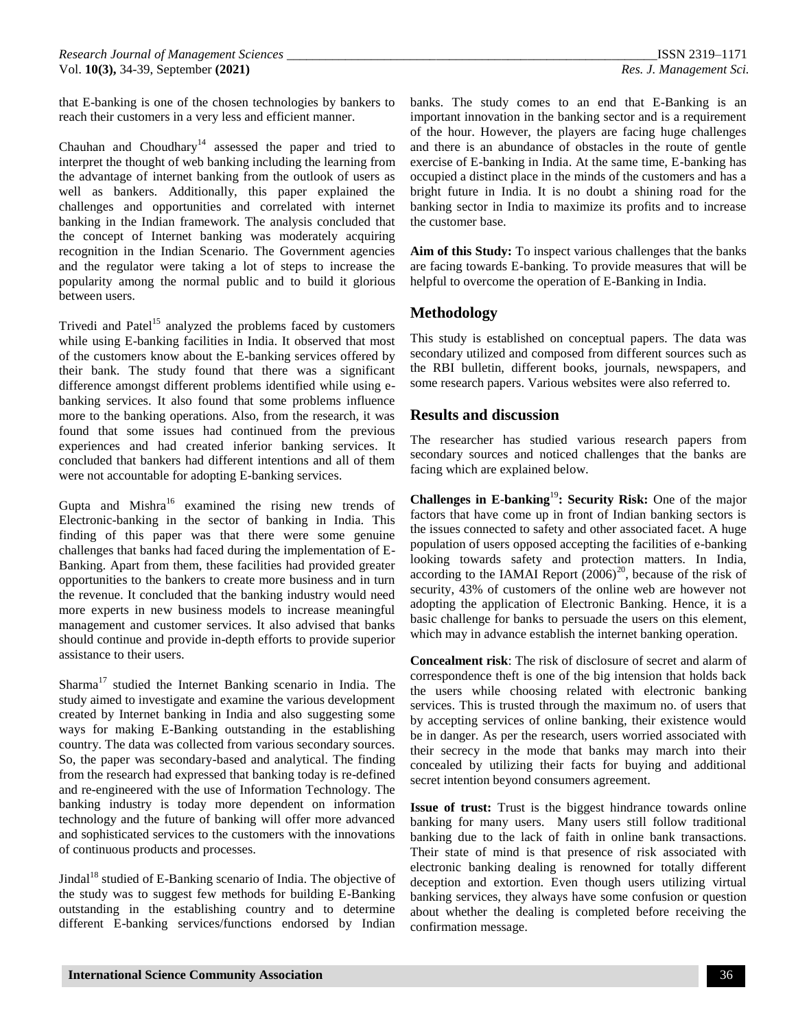that E-banking is one of the chosen technologies by bankers to reach their customers in a very less and efficient manner.

Chauhan and Choudhary<sup>14</sup> assessed the paper and tried to interpret the thought of web banking including the learning from the advantage of internet banking from the outlook of users as well as bankers. Additionally, this paper explained the challenges and opportunities and correlated with internet banking in the Indian framework. The analysis concluded that the concept of Internet banking was moderately acquiring recognition in the Indian Scenario. The Government agencies and the regulator were taking a lot of steps to increase the popularity among the normal public and to build it glorious between users.

Trivedi and Patel<sup>15</sup> analyzed the problems faced by customers while using E-banking facilities in India. It observed that most of the customers know about the E-banking services offered by their bank. The study found that there was a significant difference amongst different problems identified while using ebanking services. It also found that some problems influence more to the banking operations. Also, from the research, it was found that some issues had continued from the previous experiences and had created inferior banking services. It concluded that bankers had different intentions and all of them were not accountable for adopting E-banking services.

Gupta and Mishra $16$  examined the rising new trends of Electronic-banking in the sector of banking in India. This finding of this paper was that there were some genuine challenges that banks had faced during the implementation of E-Banking. Apart from them, these facilities had provided greater opportunities to the bankers to create more business and in turn the revenue. It concluded that the banking industry would need more experts in new business models to increase meaningful management and customer services. It also advised that banks should continue and provide in-depth efforts to provide superior assistance to their users.

Sharma<sup>17</sup> studied the Internet Banking scenario in India. The study aimed to investigate and examine the various development created by Internet banking in India and also suggesting some ways for making E-Banking outstanding in the establishing country. The data was collected from various secondary sources. So, the paper was secondary-based and analytical. The finding from the research had expressed that banking today is re-defined and re-engineered with the use of Information Technology. The banking industry is today more dependent on information technology and the future of banking will offer more advanced and sophisticated services to the customers with the innovations of continuous products and processes.

Jindal<sup>18</sup> studied of E-Banking scenario of India. The objective of the study was to suggest few methods for building E-Banking outstanding in the establishing country and to determine different E-banking services/functions endorsed by Indian banks. The study comes to an end that E-Banking is an important innovation in the banking sector and is a requirement of the hour. However, the players are facing huge challenges and there is an abundance of obstacles in the route of gentle exercise of E-banking in India. At the same time, E-banking has occupied a distinct place in the minds of the customers and has a bright future in India. It is no doubt a shining road for the banking sector in India to maximize its profits and to increase the customer base.

**Aim of this Study:** To inspect various challenges that the banks are facing towards E-banking. To provide measures that will be helpful to overcome the operation of E-Banking in India.

## **Methodology**

This study is established on conceptual papers. The data was secondary utilized and composed from different sources such as the RBI bulletin, different books, journals, newspapers, and some research papers. Various websites were also referred to.

## **Results and discussion**

The researcher has studied various research papers from secondary sources and noticed challenges that the banks are facing which are explained below.

**Challenges in E-banking<sup>19</sup>: Security Risk:** One of the major factors that have come up in front of Indian banking sectors is the issues connected to safety and other associated facet. A huge population of users opposed accepting the facilities of e-banking looking towards safety and protection matters. In India, according to the IAMAI Report  $(2006)^{20}$ , because of the risk of security, 43% of customers of the online web are however not adopting the application of Electronic Banking. Hence, it is a basic challenge for banks to persuade the users on this element, which may in advance establish the internet banking operation.

**Concealment risk**: The risk of disclosure of secret and alarm of correspondence theft is one of the big intension that holds back the users while choosing related with electronic banking services. This is trusted through the maximum no. of users that by accepting services of online banking, their existence would be in danger. As per the research, users worried associated with their secrecy in the mode that banks may march into their concealed by utilizing their facts for buying and additional secret intention beyond consumers agreement.

**Issue of trust:** Trust is the biggest hindrance towards online banking for many users. Many users still follow traditional banking due to the lack of faith in online bank transactions. Their state of mind is that presence of risk associated with electronic banking dealing is renowned for totally different deception and extortion. Even though users utilizing virtual banking services, they always have some confusion or question about whether the dealing is completed before receiving the confirmation message.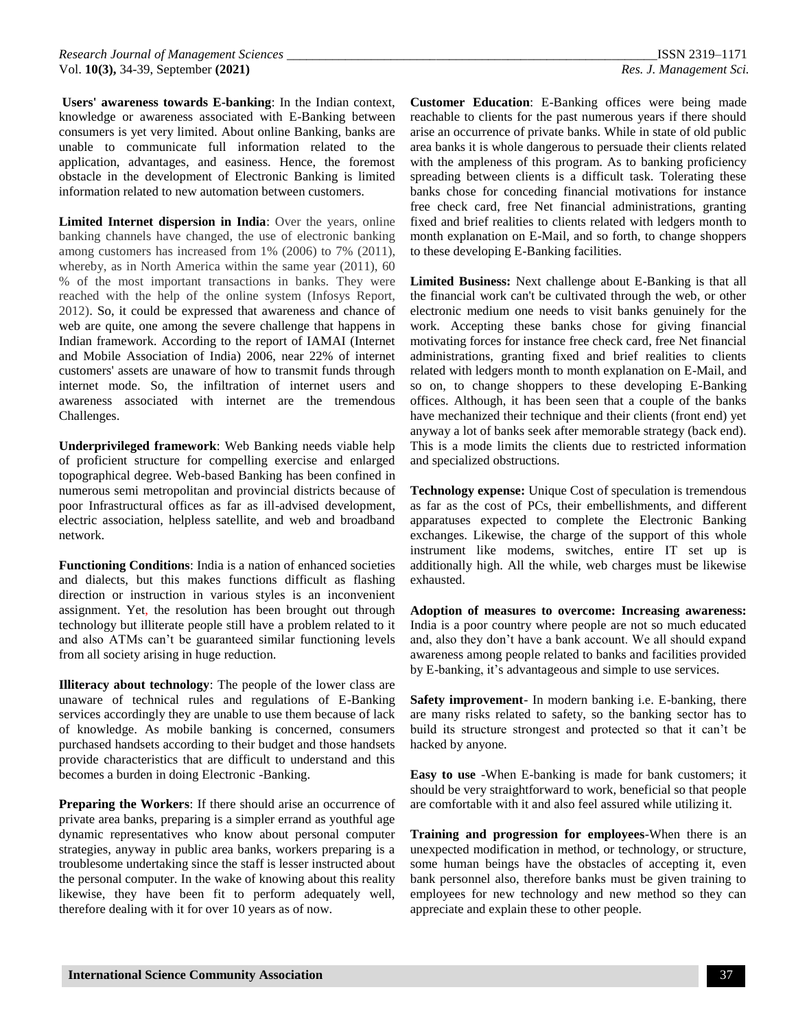**Users' awareness towards E-banking**: In the Indian context, knowledge or awareness associated with E-Banking between consumers is yet very limited. About online Banking, banks are unable to communicate full information related to the application, advantages, and easiness. Hence, the foremost obstacle in the development of Electronic Banking is limited information related to new automation between customers.

**Limited Internet dispersion in India**: Over the years, online banking channels have changed, the use of electronic banking among customers has increased from 1% (2006) to 7% (2011), whereby, as in North America within the same year (2011), 60 % of the most important transactions in banks. They were reached with the help of the online system (Infosys Report, 2012). So, it could be expressed that awareness and chance of web are quite, one among the severe challenge that happens in Indian framework. According to the report of IAMAI (Internet and Mobile Association of India) 2006, near 22% of internet customers' assets are unaware of how to transmit funds through internet mode. So, the infiltration of internet users and awareness associated with internet are the tremendous Challenges.

**Underprivileged framework**: Web Banking needs viable help of proficient structure for compelling exercise and enlarged topographical degree. Web-based Banking has been confined in numerous semi metropolitan and provincial districts because of poor Infrastructural offices as far as ill-advised development, electric association, helpless satellite, and web and broadband network.

**Functioning Conditions**: India is a nation of enhanced societies and dialects, but this makes functions difficult as flashing direction or instruction in various styles is an inconvenient assignment. Yet, the resolution has been brought out through technology but illiterate people still have a problem related to it and also ATMs can't be guaranteed similar functioning levels from all society arising in huge reduction.

**Illiteracy about technology**: The people of the lower class are unaware of technical rules and regulations of E-Banking services accordingly they are unable to use them because of lack of knowledge. As mobile banking is concerned, consumers purchased handsets according to their budget and those handsets provide characteristics that are difficult to understand and this becomes a burden in doing Electronic -Banking.

**Preparing the Workers**: If there should arise an occurrence of private area banks, preparing is a simpler errand as youthful age dynamic representatives who know about personal computer strategies, anyway in public area banks, workers preparing is a troublesome undertaking since the staff is lesser instructed about the personal computer. In the wake of knowing about this reality likewise, they have been fit to perform adequately well, therefore dealing with it for over 10 years as of now.

**Customer Education**: E-Banking offices were being made reachable to clients for the past numerous years if there should arise an occurrence of private banks. While in state of old public area banks it is whole dangerous to persuade their clients related with the ampleness of this program. As to banking proficiency spreading between clients is a difficult task. Tolerating these banks chose for conceding financial motivations for instance free check card, free Net financial administrations, granting fixed and brief realities to clients related with ledgers month to month explanation on E-Mail, and so forth, to change shoppers to these developing E-Banking facilities.

**Limited Business:** Next challenge about E-Banking is that all the financial work can't be cultivated through the web, or other electronic medium one needs to visit banks genuinely for the work. Accepting these banks chose for giving financial motivating forces for instance free check card, free Net financial administrations, granting fixed and brief realities to clients related with ledgers month to month explanation on E-Mail, and so on, to change shoppers to these developing E-Banking offices. Although, it has been seen that a couple of the banks have mechanized their technique and their clients (front end) yet anyway a lot of banks seek after memorable strategy (back end). This is a mode limits the clients due to restricted information and specialized obstructions.

**Technology expense:** Unique Cost of speculation is tremendous as far as the cost of PCs, their embellishments, and different apparatuses expected to complete the Electronic Banking exchanges. Likewise, the charge of the support of this whole instrument like modems, switches, entire IT set up is additionally high. All the while, web charges must be likewise exhausted.

**Adoption of measures to overcome: Increasing awareness:**  India is a poor country where people are not so much educated and, also they don't have a bank account. We all should expand awareness among people related to banks and facilities provided by E-banking, it's advantageous and simple to use services.

**Safety improvement**- In modern banking i.e. E-banking, there are many risks related to safety, so the banking sector has to build its structure strongest and protected so that it can't be hacked by anyone.

**Easy to use** -When E-banking is made for bank customers; it should be very straightforward to work, beneficial so that people are comfortable with it and also feel assured while utilizing it.

**Training and progression for employees**-When there is an unexpected modification in method, or technology, or structure, some human beings have the obstacles of accepting it, even bank personnel also, therefore banks must be given training to employees for new technology and new method so they can appreciate and explain these to other people.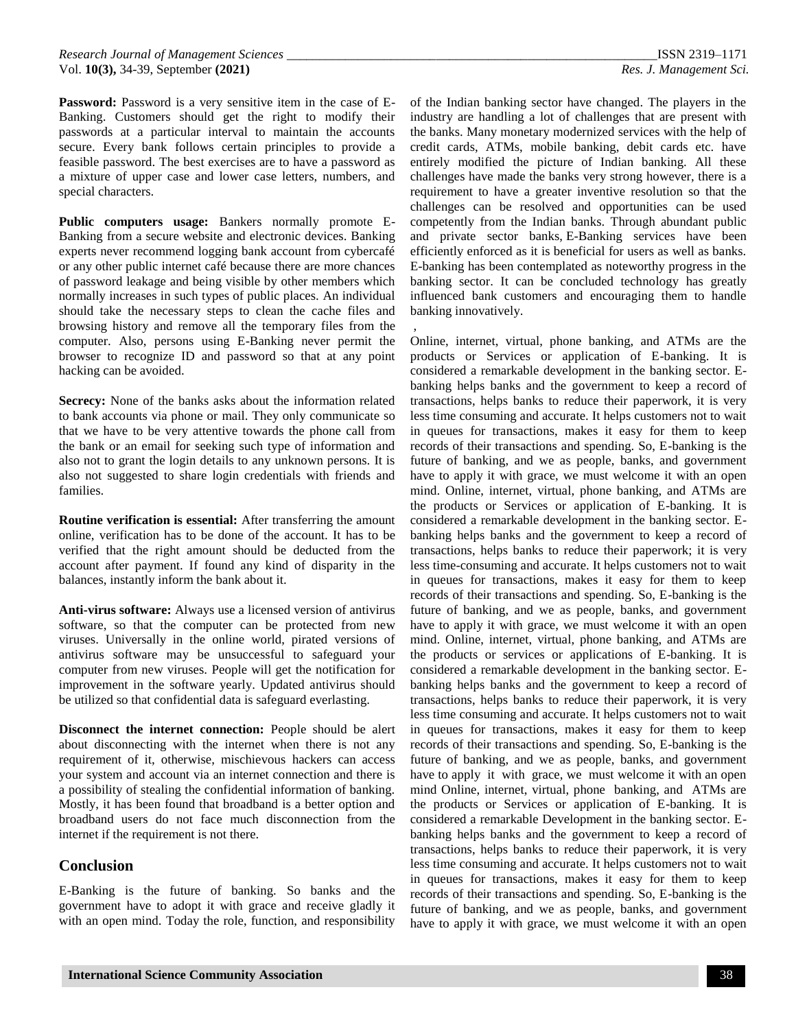Password: Password is a very sensitive item in the case of E-Banking. Customers should get the right to modify their passwords at a particular interval to maintain the accounts secure. Every bank follows certain principles to provide a feasible password. The best exercises are to have a password as a mixture of upper case and lower case letters, numbers, and special characters.

**Public computers usage:** Bankers normally promote E-Banking from a secure website and electronic devices. Banking experts never recommend logging bank account from cybercafé or any other public internet café because there are more chances of password leakage and being visible by other members which normally increases in such types of public places. An individual should take the necessary steps to clean the cache files and browsing history and remove all the temporary files from the computer. Also, persons using E-Banking never permit the browser to recognize ID and password so that at any point hacking can be avoided.

**Secrecy:** None of the banks asks about the information related to bank accounts via phone or mail. They only communicate so that we have to be very attentive towards the phone call from the bank or an email for seeking such type of information and also not to grant the login details to any unknown persons. It is also not suggested to share login credentials with friends and families.

**Routine verification is essential:** After transferring the amount online, verification has to be done of the account. It has to be verified that the right amount should be deducted from the account after payment. If found any kind of disparity in the balances, instantly inform the bank about it.

**Anti-virus software:** Always use a licensed version of antivirus software, so that the computer can be protected from new viruses. Universally in the online world, pirated versions of antivirus software may be unsuccessful to safeguard your computer from new viruses. People will get the notification for improvement in the software yearly. Updated antivirus should be utilized so that confidential data is safeguard everlasting.

**Disconnect the internet connection:** People should be alert about disconnecting with the internet when there is not any requirement of it, otherwise, mischievous hackers can access your system and account via an internet connection and there is a possibility of stealing the confidential information of banking. Mostly, it has been found that broadband is a better option and broadband users do not face much disconnection from the internet if the requirement is not there.

## **Conclusion**

E-Banking is the future of banking. So banks and the government have to adopt it with grace and receive gladly it with an open mind. Today the role, function, and responsibility

of the Indian banking sector have changed. The players in the industry are handling a lot of challenges that are present with the banks. Many monetary modernized services with the help of credit cards, ATMs, mobile banking, debit cards etc. have entirely modified the picture of Indian banking. All these challenges have made the banks very strong however, there is a requirement to have a greater inventive resolution so that the challenges can be resolved and opportunities can be used competently from the Indian banks. Through abundant public and private sector banks, E-Banking services have been efficiently enforced as it is beneficial for users as well as banks. E-banking has been contemplated as noteworthy progress in the banking sector. It can be concluded technology has greatly influenced bank customers and encouraging them to handle banking innovatively.

, Online, internet, virtual, phone banking, and ATMs are the products or Services or application of E-banking. It is considered a remarkable development in the banking sector. Ebanking helps banks and the government to keep a record of transactions, helps banks to reduce their paperwork, it is very less time consuming and accurate. It helps customers not to wait in queues for transactions, makes it easy for them to keep records of their transactions and spending. So, E-banking is the future of banking, and we as people, banks, and government have to apply it with grace, we must welcome it with an open mind. Online, internet, virtual, phone banking, and ATMs are the products or Services or application of E-banking. It is considered a remarkable development in the banking sector. Ebanking helps banks and the government to keep a record of transactions, helps banks to reduce their paperwork; it is very less time-consuming and accurate. It helps customers not to wait in queues for transactions, makes it easy for them to keep records of their transactions and spending. So, E-banking is the future of banking, and we as people, banks, and government have to apply it with grace, we must welcome it with an open mind. Online, internet, virtual, phone banking, and ATMs are the products or services or applications of E-banking. It is considered a remarkable development in the banking sector. Ebanking helps banks and the government to keep a record of transactions, helps banks to reduce their paperwork, it is very less time consuming and accurate. It helps customers not to wait in queues for transactions, makes it easy for them to keep records of their transactions and spending. So, E-banking is the future of banking, and we as people, banks, and government have to apply it with grace, we must welcome it with an open mind Online, internet, virtual, phone banking, and ATMs are the products or Services or application of E-banking. It is considered a remarkable Development in the banking sector. Ebanking helps banks and the government to keep a record of transactions, helps banks to reduce their paperwork, it is very less time consuming and accurate. It helps customers not to wait in queues for transactions, makes it easy for them to keep records of their transactions and spending. So, E-banking is the future of banking, and we as people, banks, and government have to apply it with grace, we must welcome it with an open